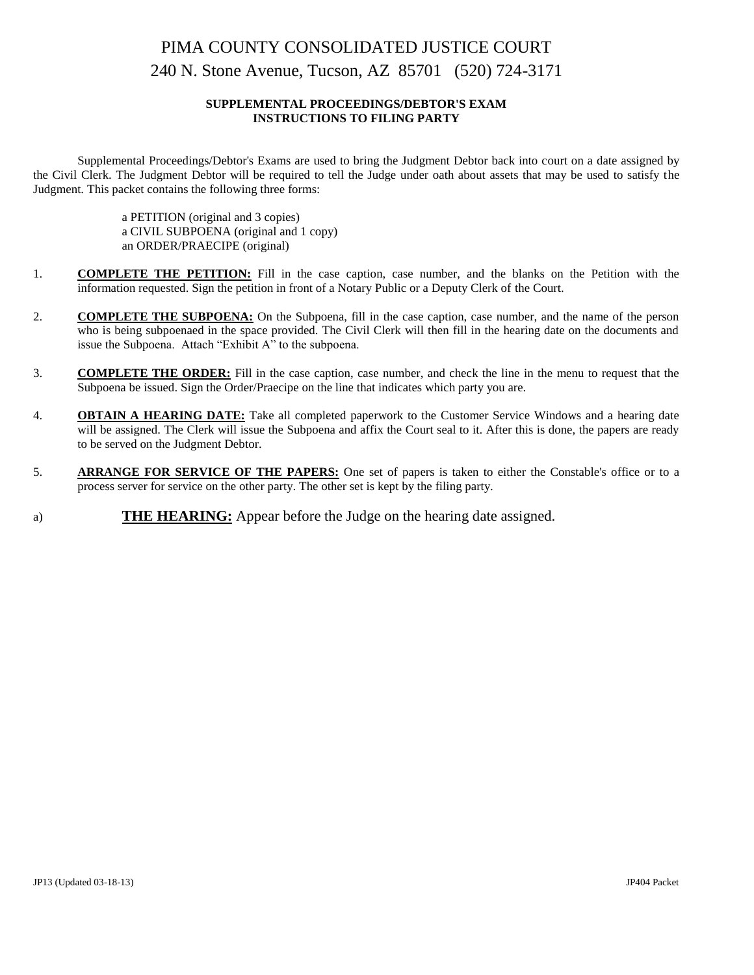# PIMA COUNTY CONSOLIDATED JUSTICE COURT 240 N. Stone Avenue, Tucson, AZ 85701 (520) 724-3171

### **SUPPLEMENTAL PROCEEDINGS/DEBTOR'S EXAM INSTRUCTIONS TO FILING PARTY**

Supplemental Proceedings/Debtor's Exams are used to bring the Judgment Debtor back into court on a date assigned by the Civil Clerk. The Judgment Debtor will be required to tell the Judge under oath about assets that may be used to satisfy the Judgment. This packet contains the following three forms:

> a PETITION (original and 3 copies) a CIVIL SUBPOENA (original and 1 copy) an ORDER/PRAECIPE (original)

- 1. **COMPLETE THE PETITION:** Fill in the case caption, case number, and the blanks on the Petition with the information requested. Sign the petition in front of a Notary Public or a Deputy Clerk of the Court.
- 2. **COMPLETE THE SUBPOENA:** On the Subpoena, fill in the case caption, case number, and the name of the person who is being subpoenaed in the space provided. The Civil Clerk will then fill in the hearing date on the documents and issue the Subpoena. Attach "Exhibit A" to the subpoena.
- 3. **COMPLETE THE ORDER:** Fill in the case caption, case number, and check the line in the menu to request that the Subpoena be issued. Sign the Order/Praecipe on the line that indicates which party you are.
- 4. **OBTAIN A HEARING DATE:** Take all completed paperwork to the Customer Service Windows and a hearing date will be assigned. The Clerk will issue the Subpoena and affix the Court seal to it. After this is done, the papers are ready to be served on the Judgment Debtor.
- 5. **ARRANGE FOR SERVICE OF THE PAPERS:** One set of papers is taken to either the Constable's office or to a process server for service on the other party. The other set is kept by the filing party.
- a) **THE HEARING:** Appear before the Judge on the hearing date assigned.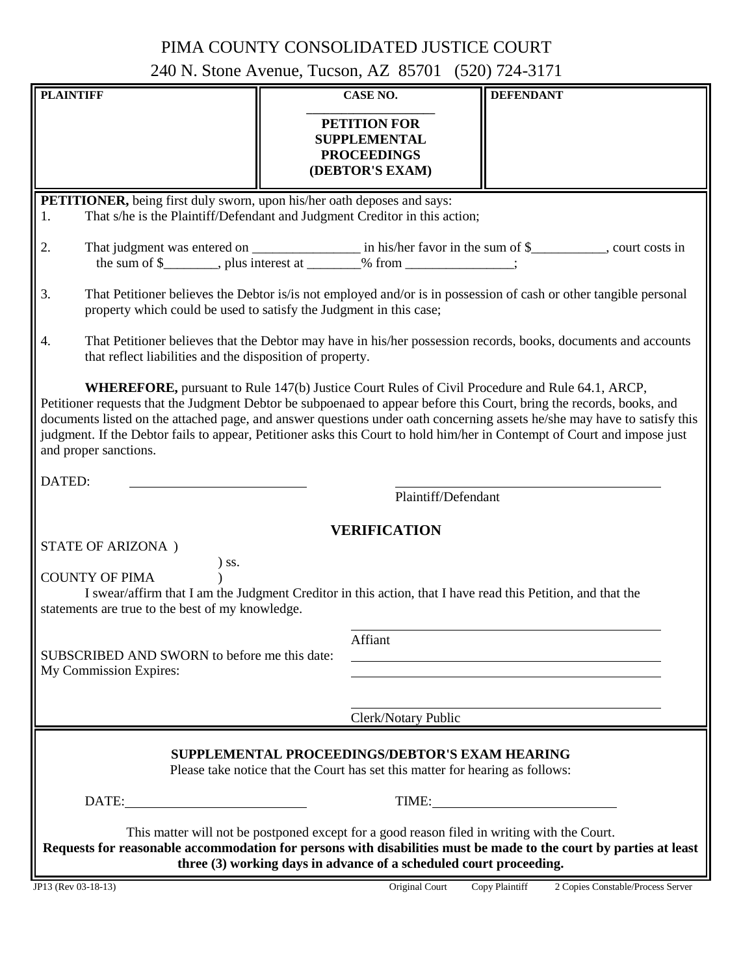## PIMA COUNTY CONSOLIDATED JUSTICE COURT

240 N. Stone Avenue, Tucson, AZ 85701 (520) 724-3171

| <b>PLAINTIFF</b>                                                                                                                                                                                                                                                                                                                                                                                                                                                                                                |                                                                                                                                                                                         | <b>CASE NO.</b>                                                                     | <b>DEFENDANT</b>                                                                                               |
|-----------------------------------------------------------------------------------------------------------------------------------------------------------------------------------------------------------------------------------------------------------------------------------------------------------------------------------------------------------------------------------------------------------------------------------------------------------------------------------------------------------------|-----------------------------------------------------------------------------------------------------------------------------------------------------------------------------------------|-------------------------------------------------------------------------------------|----------------------------------------------------------------------------------------------------------------|
|                                                                                                                                                                                                                                                                                                                                                                                                                                                                                                                 |                                                                                                                                                                                         | <b>PETITION FOR</b><br><b>SUPPLEMENTAL</b><br><b>PROCEEDINGS</b><br>(DEBTOR'S EXAM) |                                                                                                                |
| <b>PETITIONER</b> , being first duly sworn, upon his/her oath deposes and says:<br>That s/he is the Plaintiff/Defendant and Judgment Creditor in this action;<br>1.                                                                                                                                                                                                                                                                                                                                             |                                                                                                                                                                                         |                                                                                     |                                                                                                                |
| 2.                                                                                                                                                                                                                                                                                                                                                                                                                                                                                                              |                                                                                                                                                                                         |                                                                                     |                                                                                                                |
| 3.                                                                                                                                                                                                                                                                                                                                                                                                                                                                                                              | That Petitioner believes the Debtor is/is not employed and/or is in possession of cash or other tangible personal<br>property which could be used to satisfy the Judgment in this case; |                                                                                     |                                                                                                                |
| 4.<br>that reflect liabilities and the disposition of property.                                                                                                                                                                                                                                                                                                                                                                                                                                                 |                                                                                                                                                                                         |                                                                                     | That Petitioner believes that the Debtor may have in his/her possession records, books, documents and accounts |
| <b>WHEREFORE,</b> pursuant to Rule 147(b) Justice Court Rules of Civil Procedure and Rule 64.1, ARCP,<br>Petitioner requests that the Judgment Debtor be subpoenaed to appear before this Court, bring the records, books, and<br>documents listed on the attached page, and answer questions under oath concerning assets he/she may have to satisfy this<br>judgment. If the Debtor fails to appear, Petitioner asks this Court to hold him/her in Contempt of Court and impose just<br>and proper sanctions. |                                                                                                                                                                                         |                                                                                     |                                                                                                                |
| DATED:                                                                                                                                                                                                                                                                                                                                                                                                                                                                                                          |                                                                                                                                                                                         | Plaintiff/Defendant                                                                 |                                                                                                                |
|                                                                                                                                                                                                                                                                                                                                                                                                                                                                                                                 |                                                                                                                                                                                         |                                                                                     |                                                                                                                |
| STATE OF ARIZONA)                                                                                                                                                                                                                                                                                                                                                                                                                                                                                               |                                                                                                                                                                                         | <b>VERIFICATION</b>                                                                 |                                                                                                                |
| $)$ SS.<br><b>COUNTY OF PIMA</b><br>I swear/affirm that I am the Judgment Creditor in this action, that I have read this Petition, and that the<br>statements are true to the best of my knowledge.                                                                                                                                                                                                                                                                                                             |                                                                                                                                                                                         |                                                                                     |                                                                                                                |
|                                                                                                                                                                                                                                                                                                                                                                                                                                                                                                                 |                                                                                                                                                                                         | Affiant                                                                             |                                                                                                                |
| SUBSCRIBED AND SWORN to before me this date:<br>My Commission Expires:                                                                                                                                                                                                                                                                                                                                                                                                                                          |                                                                                                                                                                                         |                                                                                     |                                                                                                                |
|                                                                                                                                                                                                                                                                                                                                                                                                                                                                                                                 |                                                                                                                                                                                         |                                                                                     |                                                                                                                |
|                                                                                                                                                                                                                                                                                                                                                                                                                                                                                                                 |                                                                                                                                                                                         | Clerk/Notary Public                                                                 |                                                                                                                |
| SUPPLEMENTAL PROCEEDINGS/DEBTOR'S EXAM HEARING<br>Please take notice that the Court has set this matter for hearing as follows:                                                                                                                                                                                                                                                                                                                                                                                 |                                                                                                                                                                                         |                                                                                     |                                                                                                                |
| DATE:                                                                                                                                                                                                                                                                                                                                                                                                                                                                                                           |                                                                                                                                                                                         |                                                                                     | TIME:                                                                                                          |
| This matter will not be postponed except for a good reason filed in writing with the Court.<br>Requests for reasonable accommodation for persons with disabilities must be made to the court by parties at least<br>three (3) working days in advance of a scheduled court proceeding.                                                                                                                                                                                                                          |                                                                                                                                                                                         |                                                                                     |                                                                                                                |
| JP13 (Rev 03-18-13)                                                                                                                                                                                                                                                                                                                                                                                                                                                                                             |                                                                                                                                                                                         | Original Court                                                                      | Copy Plaintiff<br>2 Copies Constable/Process Server                                                            |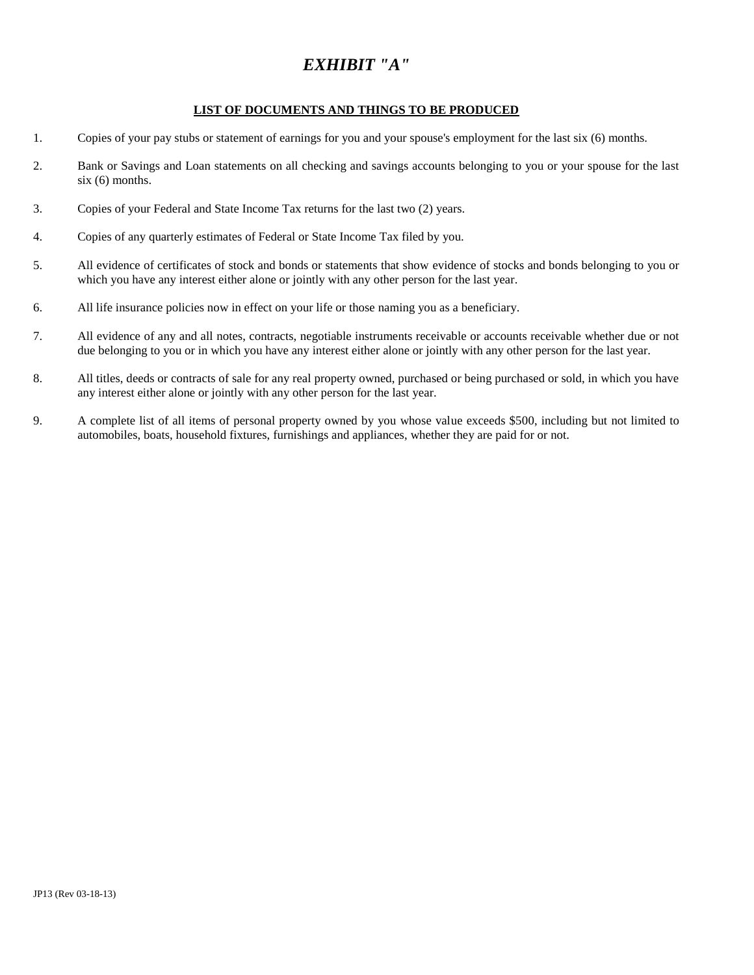## *EXHIBIT "A"*

### **LIST OF DOCUMENTS AND THINGS TO BE PRODUCED**

- 1. Copies of your pay stubs or statement of earnings for you and your spouse's employment for the last six (6) months.
- 2. Bank or Savings and Loan statements on all checking and savings accounts belonging to you or your spouse for the last six (6) months.
- 3. Copies of your Federal and State Income Tax returns for the last two (2) years.
- 4. Copies of any quarterly estimates of Federal or State Income Tax filed by you.
- 5. All evidence of certificates of stock and bonds or statements that show evidence of stocks and bonds belonging to you or which you have any interest either alone or jointly with any other person for the last year.
- 6. All life insurance policies now in effect on your life or those naming you as a beneficiary.
- 7. All evidence of any and all notes, contracts, negotiable instruments receivable or accounts receivable whether due or not due belonging to you or in which you have any interest either alone or jointly with any other person for the last year.
- 8. All titles, deeds or contracts of sale for any real property owned, purchased or being purchased or sold, in which you have any interest either alone or jointly with any other person for the last year.
- 9. A complete list of all items of personal property owned by you whose value exceeds \$500, including but not limited to automobiles, boats, household fixtures, furnishings and appliances, whether they are paid for or not.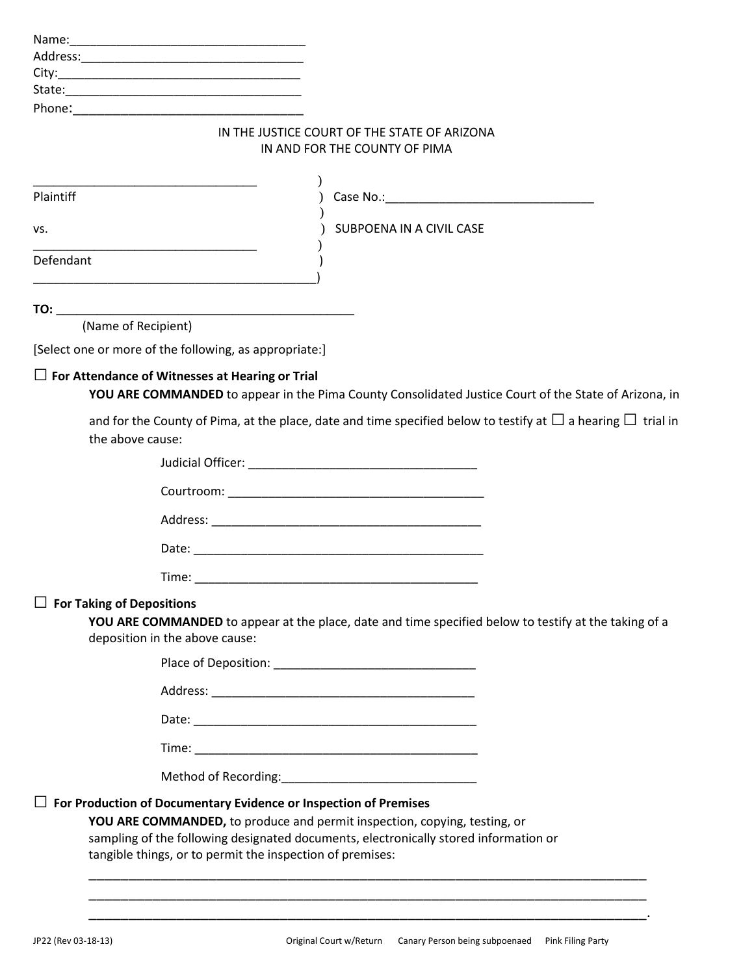| Name:    |                                                                               |
|----------|-------------------------------------------------------------------------------|
| Address: |                                                                               |
| City:    | <u> 1999 - Johann John Stein, markin am Francisco (f. 1989)</u>               |
| State:   |                                                                               |
| Phone:   |                                                                               |
|          | IN THE JUSTICE COURT OF THE STATE OF ARIZONA<br>IN AND FOR THE COUNTY OF PIMA |
|          |                                                                               |

| Plaintiff                                              |                                                                                                                        |
|--------------------------------------------------------|------------------------------------------------------------------------------------------------------------------------|
| VS.                                                    | SUBPOENA IN A CIVIL CASE                                                                                               |
| Defendant                                              |                                                                                                                        |
|                                                        |                                                                                                                        |
| (Name of Recipient)                                    |                                                                                                                        |
| [Select one or more of the following, as appropriate:] |                                                                                                                        |
| $\Box$ For Attendance of Witnesses at Hearing or Trial | YOU ARE COMMANDED to appear in the Pima County Consolidated Justice Court of the State of Arizona, in                  |
| the above cause:                                       | and for the County of Pima, at the place, date and time specified below to testify at $\Box$ a hearing $\Box$ trial in |
|                                                        |                                                                                                                        |
|                                                        |                                                                                                                        |
|                                                        |                                                                                                                        |
|                                                        |                                                                                                                        |
|                                                        |                                                                                                                        |
| $\Box$ For Taking of Depositions                       | YOU ARE COMMANDED to appear at the place, date and time specified below to testify at the taking of a                  |

**YOU ARE COMMANDED** to appear at the place, date and time specified below to testify at the taking of a deposition in the above cause:

| Place of Deposition: |  |
|----------------------|--|
|                      |  |

Address: \_\_\_\_\_\_\_\_\_\_\_\_\_\_\_\_\_\_\_\_\_\_\_\_\_\_\_\_\_\_\_\_\_\_\_\_\_\_\_

Date: \_\_\_\_\_\_\_\_\_\_\_\_\_\_\_\_\_\_\_\_\_\_\_\_\_\_\_\_\_\_\_\_\_\_\_\_\_\_\_\_\_\_

Time: \_\_\_\_\_\_\_\_\_\_\_\_\_\_\_\_\_\_\_\_\_\_\_\_\_\_\_\_\_\_\_\_\_\_\_\_\_\_\_\_\_\_

Method of Recording:\_\_\_\_\_\_\_\_\_\_\_\_\_\_\_\_\_\_\_\_\_\_\_\_\_\_\_\_\_

### **□ For Production of Documentary Evidence or Inspection of Premises**

**YOU ARE COMMANDED,** to produce and permit inspection, copying, testing, or sampling of the following designated documents, electronically stored information or tangible things, or to permit the inspection of premises:

\_\_\_\_\_\_\_\_\_\_\_\_\_\_\_\_\_\_\_\_\_\_\_\_\_\_\_\_\_\_\_\_\_\_\_\_\_\_\_\_\_\_\_\_\_\_\_\_\_\_\_\_\_\_\_\_\_\_\_\_\_\_\_\_\_\_\_\_\_\_ \_\_\_\_\_\_\_\_\_\_\_\_\_\_\_\_\_\_\_\_\_\_\_\_\_\_\_\_\_\_\_\_\_\_\_\_\_\_\_\_\_\_\_\_\_\_\_\_\_\_\_\_\_\_\_\_\_\_\_\_\_\_\_\_\_\_\_\_\_\_ \_\_\_\_\_\_\_\_\_\_\_\_\_\_\_\_\_\_\_\_\_\_\_\_\_\_\_\_\_\_\_\_\_\_\_\_\_\_\_\_\_\_\_\_\_\_\_\_\_\_\_\_\_\_\_\_\_\_\_\_\_\_\_\_\_\_\_\_\_\_.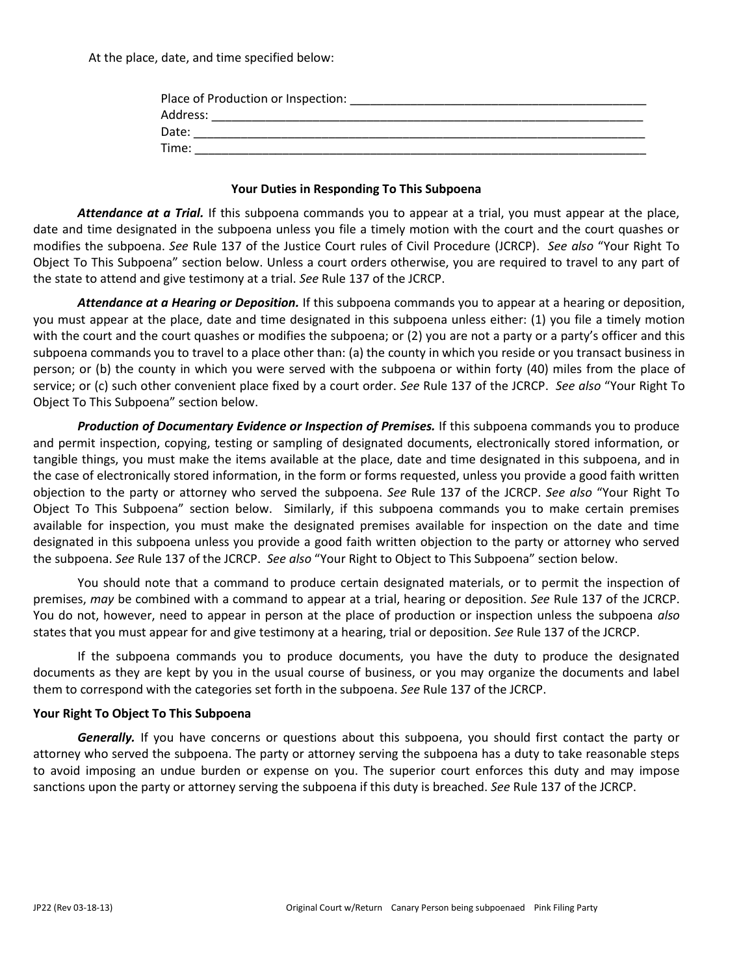At the place, date, and time specified below:

| Address: | Place of Production or Inspection: |  |
|----------|------------------------------------|--|
|          |                                    |  |
|          | Date:                              |  |
| Time:    |                                    |  |

### **Your Duties in Responding To This Subpoena**

*Attendance at a Trial.* If this subpoena commands you to appear at a trial, you must appear at the place, date and time designated in the subpoena unless you file a timely motion with the court and the court quashes or modifies the subpoena. *See* Rule 137 of the Justice Court rules of Civil Procedure (JCRCP). *See also* "Your Right To Object To This Subpoena" section below. Unless a court orders otherwise, you are required to travel to any part of the state to attend and give testimony at a trial. *See* Rule 137 of the JCRCP.

*Attendance at a Hearing or Deposition.* If this subpoena commands you to appear at a hearing or deposition, you must appear at the place, date and time designated in this subpoena unless either: (1) you file a timely motion with the court and the court quashes or modifies the subpoena; or (2) you are not a party or a party's officer and this subpoena commands you to travel to a place other than: (a) the county in which you reside or you transact business in person; or (b) the county in which you were served with the subpoena or within forty (40) miles from the place of service; or (c) such other convenient place fixed by a court order. *See* Rule 137 of the JCRCP. *See also* "Your Right To Object To This Subpoena" section below.

*Production of Documentary Evidence or Inspection of Premises.* If this subpoena commands you to produce and permit inspection, copying, testing or sampling of designated documents, electronically stored information, or tangible things, you must make the items available at the place, date and time designated in this subpoena, and in the case of electronically stored information, in the form or forms requested, unless you provide a good faith written objection to the party or attorney who served the subpoena. *See* Rule 137 of the JCRCP. *See also* "Your Right To Object To This Subpoena" section below. Similarly, if this subpoena commands you to make certain premises available for inspection, you must make the designated premises available for inspection on the date and time designated in this subpoena unless you provide a good faith written objection to the party or attorney who served the subpoena. *See* Rule 137 of the JCRCP. *See also* "Your Right to Object to This Subpoena" section below.

You should note that a command to produce certain designated materials, or to permit the inspection of premises, *may* be combined with a command to appear at a trial, hearing or deposition. *See* Rule 137 of the JCRCP. You do not, however, need to appear in person at the place of production or inspection unless the subpoena *also*  states that you must appear for and give testimony at a hearing, trial or deposition. *See* Rule 137 of the JCRCP.

If the subpoena commands you to produce documents, you have the duty to produce the designated documents as they are kept by you in the usual course of business, or you may organize the documents and label them to correspond with the categories set forth in the subpoena. *See* Rule 137 of the JCRCP.

### **Your Right To Object To This Subpoena**

*Generally.* If you have concerns or questions about this subpoena, you should first contact the party or attorney who served the subpoena. The party or attorney serving the subpoena has a duty to take reasonable steps to avoid imposing an undue burden or expense on you. The superior court enforces this duty and may impose sanctions upon the party or attorney serving the subpoena if this duty is breached. *See* Rule 137 of the JCRCP.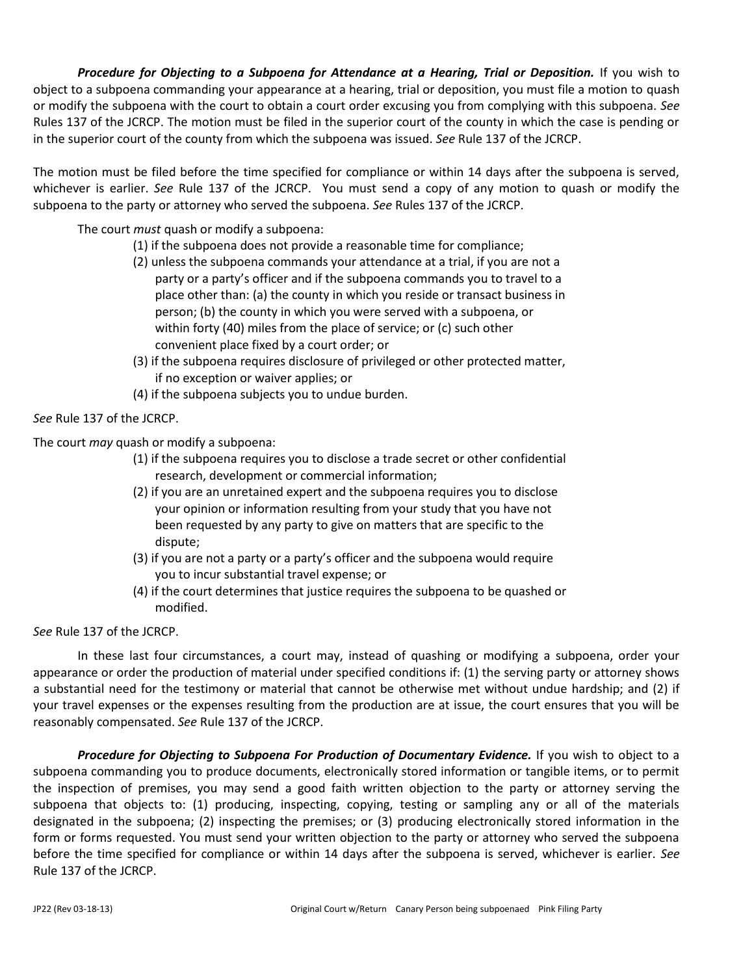**Procedure for Objecting to a Subpoena for Attendance at a Hearing, Trial or Deposition.** If you wish to object to a subpoena commanding your appearance at a hearing, trial or deposition, you must file a motion to quash or modify the subpoena with the court to obtain a court order excusing you from complying with this subpoena. *See*  Rules 137 of the JCRCP. The motion must be filed in the superior court of the county in which the case is pending or in the superior court of the county from which the subpoena was issued. *See* Rule 137 of the JCRCP.

The motion must be filed before the time specified for compliance or within 14 days after the subpoena is served, whichever is earlier. *See* Rule 137 of the JCRCP. You must send a copy of any motion to quash or modify the subpoena to the party or attorney who served the subpoena. *See* Rules 137 of the JCRCP.

The court *must* quash or modify a subpoena:

- (1) if the subpoena does not provide a reasonable time for compliance;
- (2) unless the subpoena commands your attendance at a trial, if you are not a party or a party's officer and if the subpoena commands you to travel to a place other than: (a) the county in which you reside or transact business in person; (b) the county in which you were served with a subpoena, or within forty (40) miles from the place of service; or (c) such other convenient place fixed by a court order; or
- (3) if the subpoena requires disclosure of privileged or other protected matter, if no exception or waiver applies; or
- (4) if the subpoena subjects you to undue burden.

*See* Rule 137 of the JCRCP.

The court *may* quash or modify a subpoena:

- (1) if the subpoena requires you to disclose a trade secret or other confidential research, development or commercial information;
- (2) if you are an unretained expert and the subpoena requires you to disclose your opinion or information resulting from your study that you have not been requested by any party to give on matters that are specific to the dispute;
- (3) if you are not a party or a party's officer and the subpoena would require you to incur substantial travel expense; or
- (4) if the court determines that justice requires the subpoena to be quashed or modified.

*See* Rule 137 of the JCRCP.

In these last four circumstances, a court may, instead of quashing or modifying a subpoena, order your appearance or order the production of material under specified conditions if: (1) the serving party or attorney shows a substantial need for the testimony or material that cannot be otherwise met without undue hardship; and (2) if your travel expenses or the expenses resulting from the production are at issue, the court ensures that you will be reasonably compensated. *See* Rule 137 of the JCRCP.

*Procedure for Objecting to Subpoena For Production of Documentary Evidence.* If you wish to object to a subpoena commanding you to produce documents, electronically stored information or tangible items, or to permit the inspection of premises, you may send a good faith written objection to the party or attorney serving the subpoena that objects to: (1) producing, inspecting, copying, testing or sampling any or all of the materials designated in the subpoena; (2) inspecting the premises; or (3) producing electronically stored information in the form or forms requested. You must send your written objection to the party or attorney who served the subpoena before the time specified for compliance or within 14 days after the subpoena is served, whichever is earlier. *See*  Rule 137 of the JCRCP.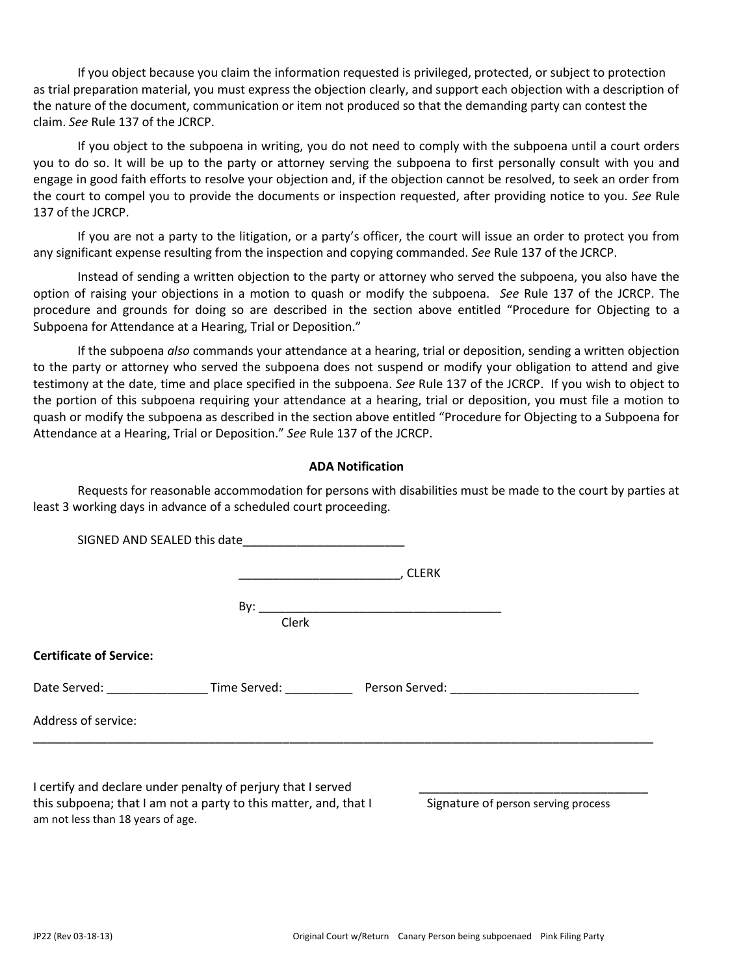If you object because you claim the information requested is privileged, protected, or subject to protection as trial preparation material, you must express the objection clearly, and support each objection with a description of the nature of the document, communication or item not produced so that the demanding party can contest the claim. *See* Rule 137 of the JCRCP.

If you object to the subpoena in writing, you do not need to comply with the subpoena until a court orders you to do so. It will be up to the party or attorney serving the subpoena to first personally consult with you and engage in good faith efforts to resolve your objection and, if the objection cannot be resolved, to seek an order from the court to compel you to provide the documents or inspection requested, after providing notice to you. *See* Rule 137 of the JCRCP.

If you are not a party to the litigation, or a party's officer, the court will issue an order to protect you from any significant expense resulting from the inspection and copying commanded. *See* Rule 137 of the JCRCP.

Instead of sending a written objection to the party or attorney who served the subpoena, you also have the option of raising your objections in a motion to quash or modify the subpoena. *See* Rule 137 of the JCRCP. The procedure and grounds for doing so are described in the section above entitled "Procedure for Objecting to a Subpoena for Attendance at a Hearing, Trial or Deposition."

If the subpoena *also* commands your attendance at a hearing, trial or deposition, sending a written objection to the party or attorney who served the subpoena does not suspend or modify your obligation to attend and give testimony at the date, time and place specified in the subpoena. *See* Rule 137 of the JCRCP. If you wish to object to the portion of this subpoena requiring your attendance at a hearing, trial or deposition, you must file a motion to quash or modify the subpoena as described in the section above entitled "Procedure for Objecting to a Subpoena for Attendance at a Hearing, Trial or Deposition." *See* Rule 137 of the JCRCP.

### **ADA Notification**

Requests for reasonable accommodation for persons with disabilities must be made to the court by parties at least 3 working days in advance of a scheduled court proceeding.

|                                |                                                              | . CLERK                                                |  |
|--------------------------------|--------------------------------------------------------------|--------------------------------------------------------|--|
|                                |                                                              |                                                        |  |
|                                | Clerk                                                        |                                                        |  |
| <b>Certificate of Service:</b> |                                                              |                                                        |  |
|                                |                                                              | Date Served: Time Served: Person Served: Particle 2014 |  |
| Address of service:            |                                                              |                                                        |  |
|                                |                                                              |                                                        |  |
|                                | I certify and declare under penalty of perjury that I served |                                                        |  |

this subpoena; that I am not a party to this matter, and, that I Signature of person serving process am not less than 18 years of age.